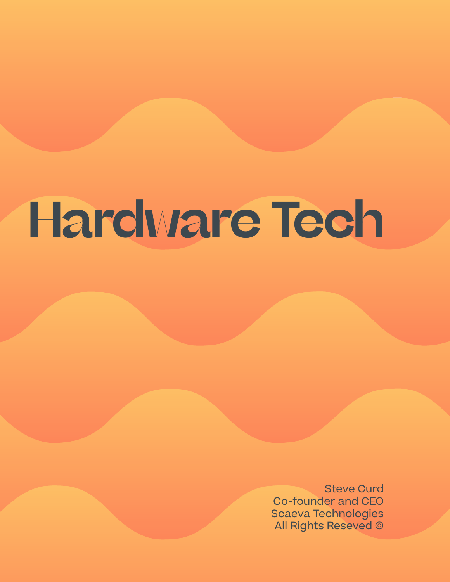## **Hardware Tech**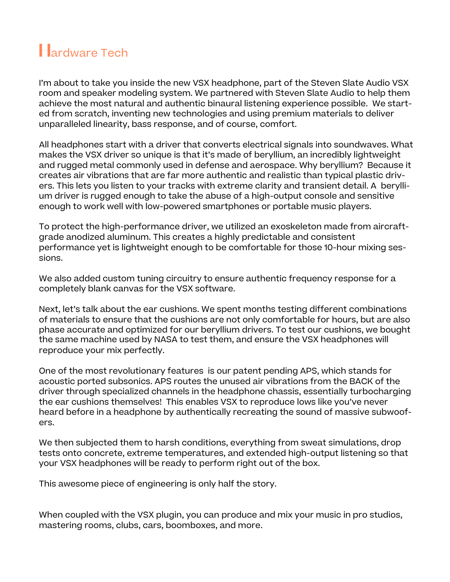### **H**ardware Tech

I'm about to take you inside the new VSX headphone, part of the Steven Slate Audio VSX room and speaker modeling system. We partnered with Steven Slate Audio to help them achieve the most natural and authentic binaural listening experience possible. We started from scratch, inventing new technologies and using premium materials to deliver unparalleled linearity, bass response, and of course, comfort.

All headphones start with a driver that converts electrical signals into soundwaves. What makes the VSX driver so unique is that it's made of beryllium, an incredibly lightweight and rugged metal commonly used in defense and aerospace. Why beryllium? Because it creates air vibrations that are far more authentic and realistic than typical plastic drivers. This lets you listen to your tracks with extreme clarity and transient detail. A beryllium driver is rugged enough to take the abuse of a high-output console and sensitive enough to work well with low-powered smartphones or portable music players.

To protect the high-performance driver, we utilized an exoskeleton made from aircraftgrade anodized aluminum. This creates a highly predictable and consistent performance yet is lightweight enough to be comfortable for those 10-hour mixing sessions.

We also added custom tuning circuitry to ensure authentic frequency response for a completely blank canvas for the VSX software.

Next, let's talk about the ear cushions. We spent months testing different combinations of materials to ensure that the cushions are not only comfortable for hours, but are also phase accurate and optimized for our beryllium drivers. To test our cushions, we bought the same machine used by NASA to test them, and ensure the VSX headphones will reproduce your mix perfectly.

One of the most revolutionary features is our patent pending APS, which stands for acoustic ported subsonics. APS routes the unused air vibrations from the BACK of the driver through specialized channels in the headphone chassis, essentially turbocharging the ear cushions themselves! This enables VSX to reproduce lows like you've never heard before in a headphone by authentically recreating the sound of massive subwoofers.

We then subjected them to harsh conditions, everything from sweat simulations, drop tests onto concrete, extreme temperatures, and extended high-output listening so that your VSX headphones will be ready to perform right out of the box.

This awesome piece of engineering is only half the story.

When coupled with the VSX plugin, you can produce and mix your music in pro studios, mastering rooms, clubs, cars, boomboxes, and more.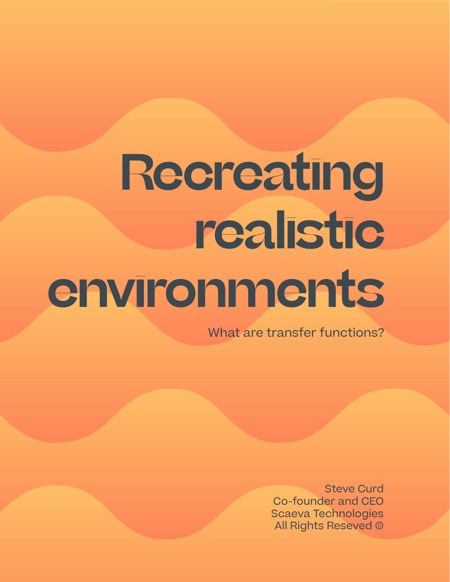# **Recreating realistic environments**

What are transfer functions?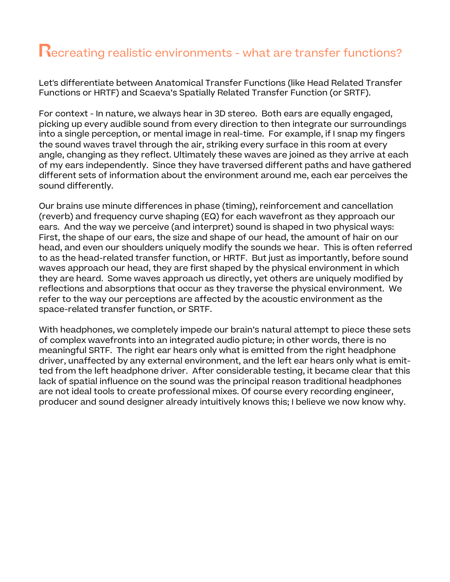#### **R**ecreating realistic environments - what are transfer functions?

Let's differentiate between Anatomical Transfer Functions (like Head Related Transfer Functions or HRTF) and Scaeva's Spatially Related Transfer Function (or SRTF).

For context - In nature, we always hear in 3D stereo. Both ears are equally engaged, picking up every audible sound from every direction to then integrate our surroundings into a single perception, or mental image in real-time. For example, if I snap my fingers the sound waves travel through the air, striking every surface in this room at every angle, changing as they reflect. Ultimately these waves are joined as they arrive at each of my ears independently. Since they have traversed different paths and have gathered different sets of information about the environment around me, each ear perceives the sound differently.

Our brains use minute differences in phase (timing), reinforcement and cancellation (reverb) and frequency curve shaping (EQ) for each wavefront as they approach our ears. And the way we perceive (and interpret) sound is shaped in two physical ways: First, the shape of our ears, the size and shape of our head, the amount of hair on our head, and even our shoulders uniquely modify the sounds we hear. This is often referred to as the head-related transfer function, or HRTF. But just as importantly, before sound waves approach our head, they are first shaped by the physical environment in which they are heard. Some waves approach us directly, yet others are uniquely modified by reflections and absorptions that occur as they traverse the physical environment. We refer to the way our perceptions are affected by the acoustic environment as the space-related transfer function, or SRTF.

With headphones, we completely impede our brain's natural attempt to piece these sets of complex wavefronts into an integrated audio picture; in other words, there is no meaningful SRTF. The right ear hears only what is emitted from the right headphone driver, unaffected by any external environment, and the left ear hears only what is emitted from the left headphone driver. After considerable testing, it became clear that this lack of spatial influence on the sound was the principal reason traditional headphones are not ideal tools to create professional mixes. Of course every recording engineer, producer and sound designer already intuitively knows this; I believe we now know why.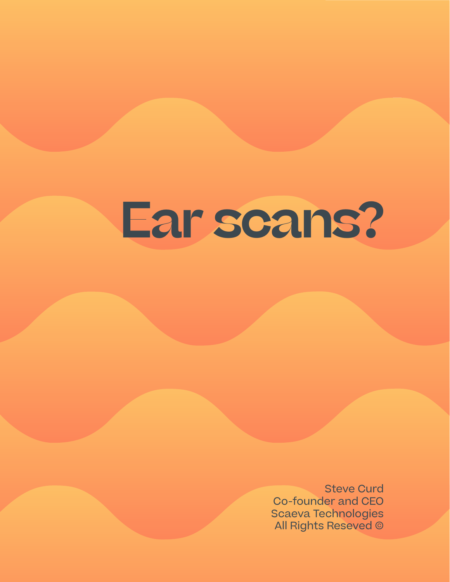## **Ear scans?**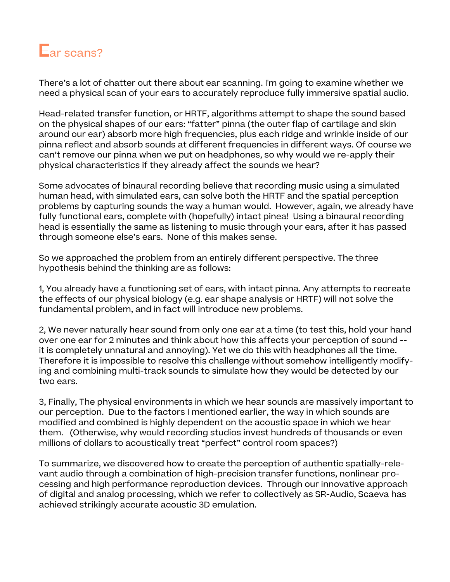

There's a lot of chatter out there about ear scanning. I'm going to examine whether we need a physical scan of your ears to accurately reproduce fully immersive spatial audio.

Head-related transfer function, or HRTF, algorithms attempt to shape the sound based on the physical shapes of our ears: "fatter" pinna (the outer flap of cartilage and skin around our ear) absorb more high frequencies, plus each ridge and wrinkle inside of our pinna reflect and absorb sounds at different frequencies in different ways. Of course we can't remove our pinna when we put on headphones, so why would we re-apply their physical characteristics if they already affect the sounds we hear?

Some advocates of binaural recording believe that recording music using a simulated human head, with simulated ears, can solve both the HRTF and the spatial perception problems by capturing sounds the way a human would. However, again, we already have fully functional ears, complete with (hopefully) intact pinea! Using a binaural recording head is essentially the same as listening to music through your ears, after it has passed through someone else's ears. None of this makes sense.

So we approached the problem from an entirely different perspective. The three hypothesis behind the thinking are as follows:

1, You already have a functioning set of ears, with intact pinna. Any attempts to recreate the effects of our physical biology (e.g. ear shape analysis or HRTF) will not solve the fundamental problem, and in fact will introduce new problems.

2, We never naturally hear sound from only one ear at a time (to test this, hold your hand over one ear for 2 minutes and think about how this affects your perception of sound - it is completely unnatural and annoying). Yet we do this with headphones all the time. Therefore it is impossible to resolve this challenge without somehow intelligently modifying and combining multi-track sounds to simulate how they would be detected by our two ears.

3, Finally, The physical environments in which we hear sounds are massively important to our perception. Due to the factors I mentioned earlier, the way in which sounds are modified and combined is highly dependent on the acoustic space in which we hear them. (Otherwise, why would recording studios invest hundreds of thousands or even millions of dollars to acoustically treat "perfect" control room spaces?)

To summarize, we discovered how to create the perception of authentic spatially-relevant audio through a combination of high-precision transfer functions, nonlinear processing and high performance reproduction devices. Through our innovative approach of digital and analog processing, which we refer to collectively as SR-Audio, Scaeva has achieved strikingly accurate acoustic 3D emulation.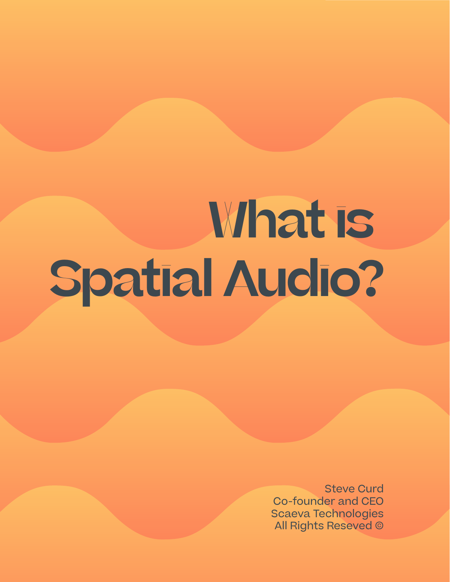# **What is Spatial Audio?**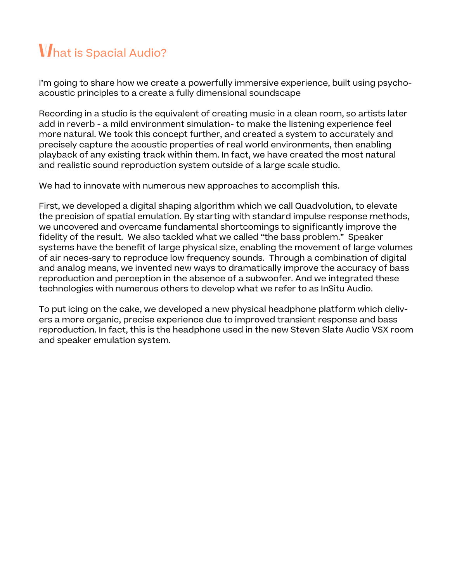### **W**hat is Spacial Audio?

I'm going to share how we create a powerfully immersive experience, built using psychoacoustic principles to a create a fully dimensional soundscape

Recording in a studio is the equivalent of creating music in a clean room, so artists later add in reverb - a mild environment simulation- to make the listening experience feel more natural. We took this concept further, and created a system to accurately and precisely capture the acoustic properties of real world environments, then enabling playback of any existing track within them. In fact, we have created the most natural and realistic sound reproduction system outside of a large scale studio.

We had to innovate with numerous new approaches to accomplish this.

First, we developed a digital shaping algorithm which we call Quadvolution, to elevate the precision of spatial emulation. By starting with standard impulse response methods, we uncovered and overcame fundamental shortcomings to significantly improve the fidelity of the result. We also tackled what we called "the bass problem." Speaker systems have the benefit of large physical size, enabling the movement of large volumes of air neces-sary to reproduce low frequency sounds. Through a combination of digital and analog means, we invented new ways to dramatically improve the accuracy of bass reproduction and perception in the absence of a subwoofer. And we integrated these technologies with numerous others to develop what we refer to as InSitu Audio.

To put icing on the cake, we developed a new physical headphone platform which delivers a more organic, precise experience due to improved transient response and bass reproduction. In fact, this is the headphone used in the new Steven Slate Audio VSX room and speaker emulation system.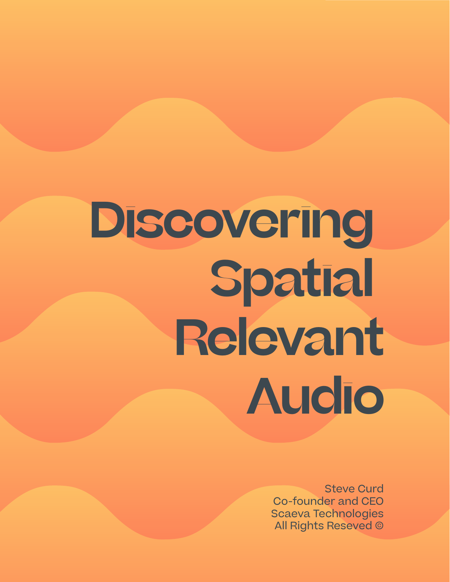# **Discovering Spatial Relevant Audio**